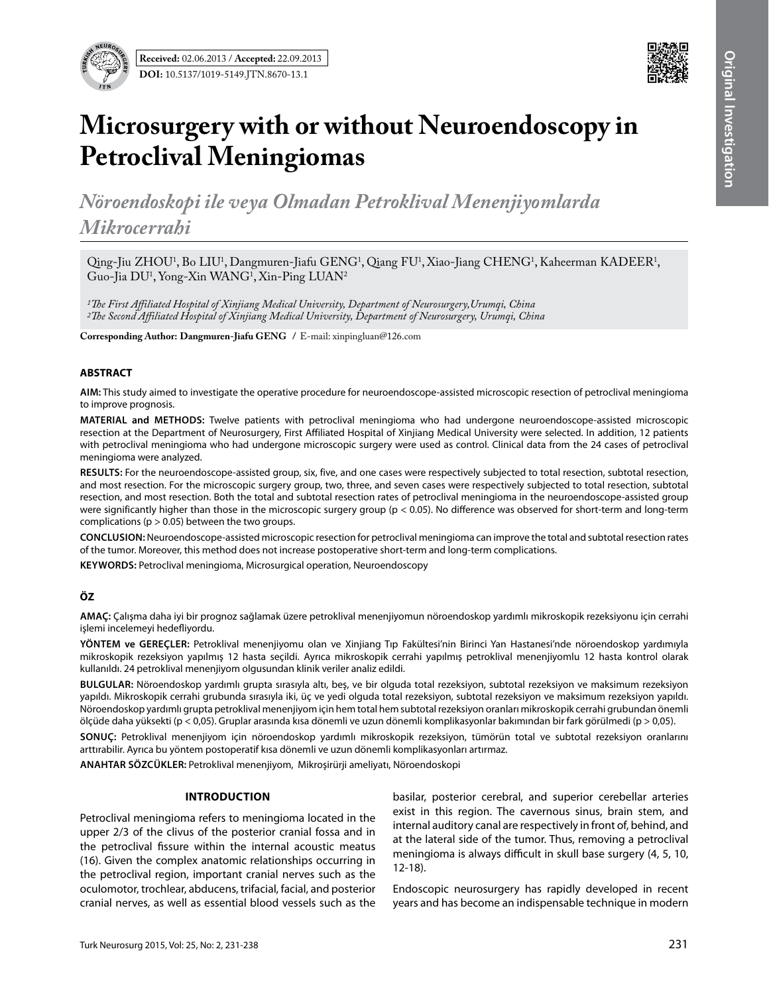

# **Microsurgery with or without Neuroendoscopy in Petroclival Meningiomas**

*Nöroendoskopi ile veya Olmadan Petroklival Menenjiyomlarda Mikrocerrahi*

Qing-Jiu ZHOU<sup>1</sup>, Bo LIU<sup>1</sup>, Dangmuren-Jiafu GENG<sup>1</sup>, Qiang FU<sup>1</sup>, Xiao-Jiang CHENG<sup>1</sup>, Kaheerman KADEER<sup>1</sup>, Guo-Jia DU1 , Yong-Xin WANG1 , Xin-Ping LUAN2

*1The First Affiliated Hospital of Xinjiang Medical University, Department of Neurosurgery,Urumqi, China 2The Second Affiliated Hospital of Xinjiang Medical University, Department of Neurosurgery, Urumqi, China*

**Corresponding Author: Dangmuren-Jiafu GENG /** E-mail: xinpingluan@126.com

#### **ABSTRACT**

**AIm:** This study aimed to investigate the operative procedure for neuroendoscope-assisted microscopic resection of petroclival meningioma to improve prognosis.

MATERIAL and METHODS: Twelve patients with petroclival meningioma who had undergone neuroendoscope-assisted microscopic resection at the Department of Neurosurgery, First Affiliated Hospital of Xinjiang Medical University were selected. In addition, 12 patients with petroclival meningioma who had undergone microscopic surgery were used as control. Clinical data from the 24 cases of petroclival meningioma were analyzed.

**Results:** For the neuroendoscope-assisted group, six, five, and one cases were respectively subjected to total resection, subtotal resection, and most resection. For the microscopic surgery group, two, three, and seven cases were respectively subjected to total resection, subtotal resection, and most resection. Both the total and subtotal resection rates of petroclival meningioma in the neuroendoscope-assisted group were significantly higher than those in the microscopic surgery group (p < 0.05). No difference was observed for short-term and long-term complications ( $p > 0.05$ ) between the two groups.

**ConclusIon:** Neuroendoscope-assisted microscopic resection for petroclival meningioma can improve the total and subtotal resection rates of the tumor. Moreover, this method does not increase postoperative short-term and long-term complications.

**KEYWORDS:** Petroclival meningioma, Microsurgical operation, Neuroendoscopy

# **ÖZ**

**AMAÇ:** Çalışma daha iyi bir prognoz sağlamak üzere petroklival menenjiyomun nöroendoskop yardımlı mikroskopik rezeksiyonu için cerrahi işlemi incelemeyi hedefliyordu.

**YÖNTEM ve GEREÇLER:** Petroklival menenjiyomu olan ve Xinjiang Tıp Fakültesi'nin Birinci Yan Hastanesi'nde nöroendoskop yardımıyla mikroskopik rezeksiyon yapılmış 12 hasta seçildi. Ayrıca mikroskopik cerrahi yapılmış petroklival menenjiyomlu 12 hasta kontrol olarak kullanıldı. 24 petroklival menenjiyom olgusundan klinik veriler analiz edildi.

**BULGULAR:** Nöroendoskop yardımlı grupta sırasıyla altı, beş, ve bir olguda total rezeksiyon, subtotal rezeksiyon ve maksimum rezeksiyon yapıldı. Mikroskopik cerrahi grubunda sırasıyla iki, üç ve yedi olguda total rezeksiyon, subtotal rezeksiyon ve maksimum rezeksiyon yapıldı. Nöroendoskop yardımlı grupta petroklival menenjiyom için hem total hem subtotal rezeksiyon oranları mikroskopik cerrahi grubundan önemli ölçüde daha yüksekti (p < 0,05). Gruplar arasında kısa dönemli ve uzun dönemli komplikasyonlar bakımından bir fark görülmedi (p > 0,05).

**SONUÇ:** Petroklival menenjiyom için nöroendoskop yardımlı mikroskopik rezeksiyon, tümörün total ve subtotal rezeksiyon oranlarını arttırabilir. Ayrıca bu yöntem postoperatif kısa dönemli ve uzun dönemli komplikasyonları artırmaz.

**ANAHTAR SÖZCÜKLER:** Petroklival menenjiyom, Mikroşirürji ameliyatı, Nöroendoskopi

# **Introduction**

Petroclival meningioma refers to meningioma located in the upper 2/3 of the clivus of the posterior cranial fossa and in the petroclival fissure within the internal acoustic meatus (16). Given the complex anatomic relationships occurring in the petroclival region, important cranial nerves such as the oculomotor, trochlear, abducens, trifacial, facial, and posterior cranial nerves, as well as essential blood vessels such as the basilar, posterior cerebral, and superior cerebellar arteries exist in this region. The cavernous sinus, brain stem, and internal auditory canal are respectively in front of, behind, and at the lateral side of the tumor. Thus, removing a petroclival meningioma is always difficult in skull base surgery (4, 5, 10, 12-18).

Endoscopic neurosurgery has rapidly developed in recent years and has become an indispensable technique in modern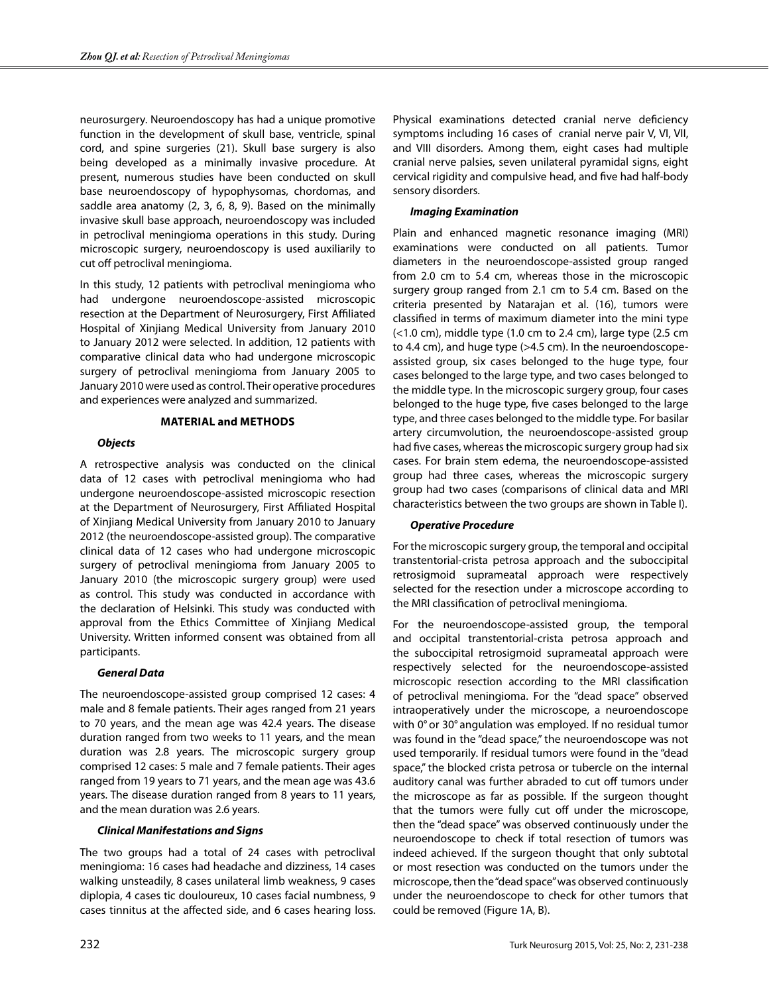neurosurgery. Neuroendoscopy has had a unique promotive function in the development of skull base, ventricle, spinal cord, and spine surgeries (21). Skull base surgery is also being developed as a minimally invasive procedure. At present, numerous studies have been conducted on skull base neuroendoscopy of hypophysomas, chordomas, and saddle area anatomy (2, 3, 6, 8, 9). Based on the minimally invasive skull base approach, neuroendoscopy was included in petroclival meningioma operations in this study. During microscopic surgery, neuroendoscopy is used auxiliarily to cut off petroclival meningioma.

In this study, 12 patients with petroclival meningioma who had undergone neuroendoscope-assisted microscopic resection at the Department of Neurosurgery, First Affiliated Hospital of Xinjiang Medical University from January 2010 to January 2012 were selected. In addition, 12 patients with comparative clinical data who had undergone microscopic surgery of petroclival meningioma from January 2005 to January 2010 were used as control. Their operative procedures and experiences were analyzed and summarized.

# **Material and methods**

# *Objects*

A retrospective analysis was conducted on the clinical data of 12 cases with petroclival meningioma who had undergone neuroendoscope-assisted microscopic resection at the Department of Neurosurgery, First Affiliated Hospital of Xinjiang Medical University from January 2010 to January 2012 (the neuroendoscope-assisted group). The comparative clinical data of 12 cases who had undergone microscopic surgery of petroclival meningioma from January 2005 to January 2010 (the microscopic surgery group) were used as control. This study was conducted in accordance with the declaration of Helsinki. This study was conducted with approval from the Ethics Committee of Xinjiang Medical University. Written informed consent was obtained from all participants.

# *General Data*

The neuroendoscope-assisted group comprised 12 cases: 4 male and 8 female patients. Their ages ranged from 21 years to 70 years, and the mean age was 42.4 years. The disease duration ranged from two weeks to 11 years, and the mean duration was 2.8 years. The microscopic surgery group comprised 12 cases: 5 male and 7 female patients. Their ages ranged from 19 years to 71 years, and the mean age was 43.6 years. The disease duration ranged from 8 years to 11 years, and the mean duration was 2.6 years.

# *Clinical Manifestations and Signs*

The two groups had a total of 24 cases with petroclival meningioma: 16 cases had headache and dizziness, 14 cases walking unsteadily, 8 cases unilateral limb weakness, 9 cases diplopia, 4 cases tic douloureux, 10 cases facial numbness, 9 cases tinnitus at the affected side, and 6 cases hearing loss.

Physical examinations detected cranial nerve deficiency symptoms including 16 cases of cranial nerve pair V, VI, VII, and VIII disorders. Among them, eight cases had multiple cranial nerve palsies, seven unilateral pyramidal signs, eight cervical rigidity and compulsive head, and five had half-body sensory disorders.

## *Imaging Examination*

Plain and enhanced magnetic resonance imaging (MRI) examinations were conducted on all patients. Tumor diameters in the neuroendoscope-assisted group ranged from 2.0 cm to 5.4 cm, whereas those in the microscopic surgery group ranged from 2.1 cm to 5.4 cm. Based on the criteria presented by Natarajan et al. (16), tumors were classified in terms of maximum diameter into the mini type  $(<$ 1.0 cm), middle type (1.0 cm to 2.4 cm), large type (2.5 cm) to 4.4 cm), and huge type (>4.5 cm). In the neuroendoscopeassisted group, six cases belonged to the huge type, four cases belonged to the large type, and two cases belonged to the middle type. In the microscopic surgery group, four cases belonged to the huge type, five cases belonged to the large type, and three cases belonged to the middle type. For basilar artery circumvolution, the neuroendoscope-assisted group had five cases, whereas the microscopic surgery group had six cases. For brain stem edema, the neuroendoscope-assisted group had three cases, whereas the microscopic surgery group had two cases (comparisons of clinical data and MRI characteristics between the two groups are shown in Table I).

#### *Operative Procedure*

For the microscopic surgery group, the temporal and occipital transtentorial-crista petrosa approach and the suboccipital retrosigmoid suprameatal approach were respectively selected for the resection under a microscope according to the MRI classification of petroclival meningioma.

For the neuroendoscope-assisted group, the temporal and occipital transtentorial-crista petrosa approach and the suboccipital retrosigmoid suprameatal approach were respectively selected for the neuroendoscope-assisted microscopic resection according to the MRI classification of petroclival meningioma. For the "dead space" observed intraoperatively under the microscope, a neuroendoscope with 0° or 30° angulation was employed. If no residual tumor was found in the "dead space," the neuroendoscope was not used temporarily. If residual tumors were found in the "dead space," the blocked crista petrosa or tubercle on the internal auditory canal was further abraded to cut off tumors under the microscope as far as possible. If the surgeon thought that the tumors were fully cut off under the microscope, then the "dead space" was observed continuously under the neuroendoscope to check if total resection of tumors was indeed achieved. If the surgeon thought that only subtotal or most resection was conducted on the tumors under the microscope, then the "dead space" was observed continuously under the neuroendoscope to check for other tumors that could be removed (Figure 1A, B).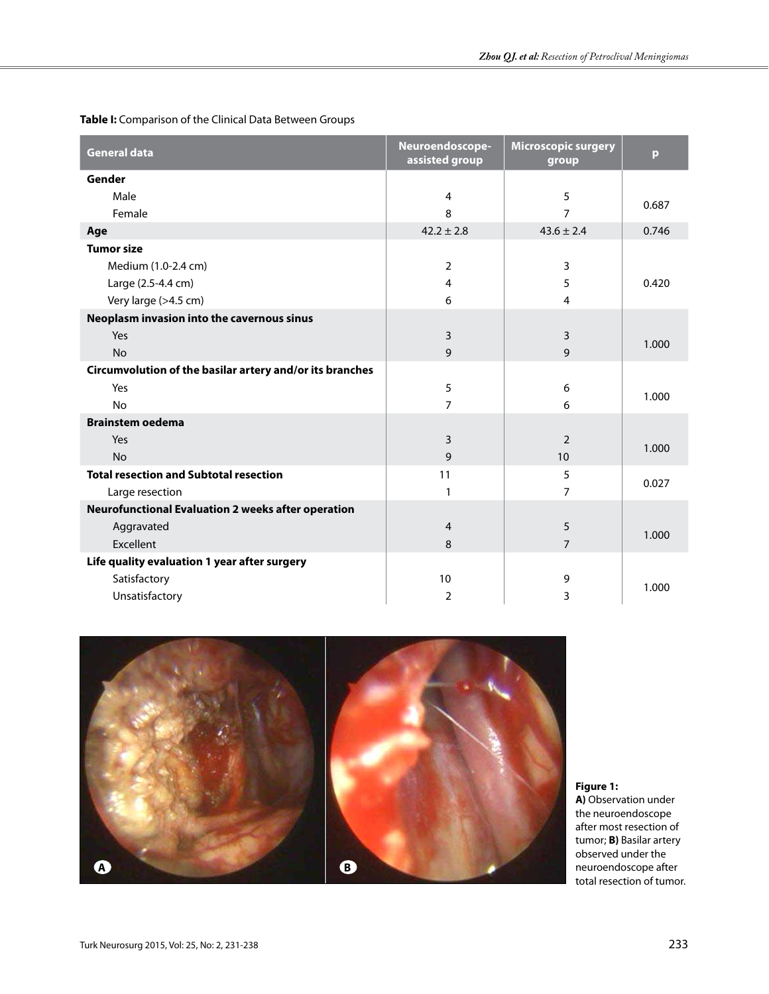| <b>General data</b>                                       | Neuroendoscope-<br>assisted group | <b>Microscopic surgery</b><br>group | $\mathbf{p}$ |
|-----------------------------------------------------------|-----------------------------------|-------------------------------------|--------------|
| Gender                                                    |                                   |                                     |              |
| Male                                                      | $\overline{4}$                    | 5                                   | 0.687        |
| Female                                                    | 8                                 | 7                                   |              |
| Age                                                       | $42.2 \pm 2.8$                    | $43.6 \pm 2.4$                      | 0.746        |
| <b>Tumor size</b>                                         |                                   |                                     |              |
| Medium (1.0-2.4 cm)                                       | $\overline{2}$                    | 3                                   |              |
| Large (2.5-4.4 cm)                                        | $\overline{4}$                    | 5                                   | 0.420        |
| Very large (>4.5 cm)                                      | 6                                 | 4                                   |              |
| Neoplasm invasion into the cavernous sinus                |                                   |                                     |              |
| Yes                                                       | 3                                 | 3                                   | 1.000        |
| <b>No</b>                                                 | 9                                 | 9                                   |              |
| Circumvolution of the basilar artery and/or its branches  |                                   |                                     |              |
| Yes                                                       | 5                                 | 6                                   | 1.000        |
| <b>No</b>                                                 | $\overline{7}$                    | 6                                   |              |
| <b>Brainstem oedema</b>                                   |                                   |                                     |              |
| Yes                                                       | 3                                 | $\mathcal{P}$                       | 1.000        |
| <b>No</b>                                                 | 9                                 | 10                                  |              |
| <b>Total resection and Subtotal resection</b>             | 11                                | 5                                   | 0.027        |
| Large resection                                           | 1                                 | 7                                   |              |
| <b>Neurofunctional Evaluation 2 weeks after operation</b> |                                   |                                     |              |
| Aggravated                                                | $\overline{4}$                    | 5                                   | 1.000        |
| Excellent                                                 | 8                                 | $\overline{7}$                      |              |
| Life quality evaluation 1 year after surgery              |                                   |                                     |              |
| Satisfactory                                              | 10                                | 9                                   | 1.000        |
| Unsatisfactory                                            | 2                                 | 3                                   |              |

**Table I:** Comparison of the Clinical Data Between Groups



**Figure 1: A)** Observation under the neuroendoscope

after most resection of tumor; **B)** Basilar artery observed under the neuroendoscope after total resection of tumor.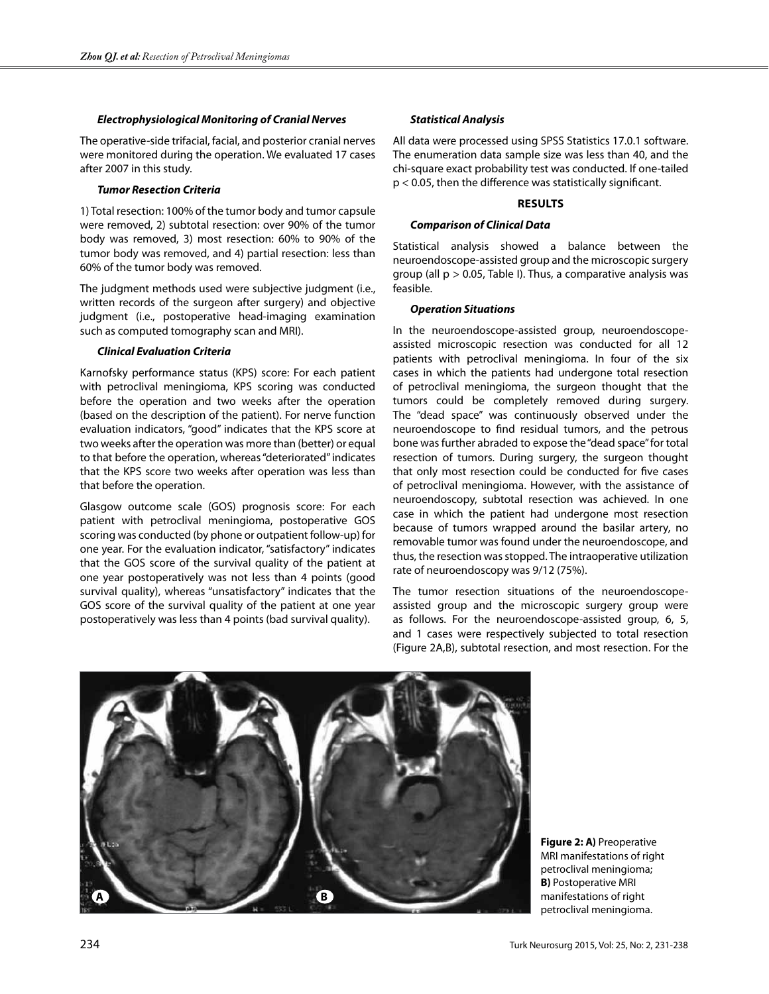#### *Electrophysiological Monitoring of Cranial Nerves*

The operative-side trifacial, facial, and posterior cranial nerves were monitored during the operation. We evaluated 17 cases after 2007 in this study.

#### *Tumor Resection Criteria*

1) Total resection: 100% of the tumor body and tumor capsule were removed, 2) subtotal resection: over 90% of the tumor body was removed, 3) most resection: 60% to 90% of the tumor body was removed, and 4) partial resection: less than 60% of the tumor body was removed.

The judgment methods used were subjective judgment (i.e., written records of the surgeon after surgery) and objective judgment (i.e., postoperative head-imaging examination such as computed tomography scan and MRI).

#### *Clinical Evaluation Criteria*

Karnofsky performance status (KPS) score: For each patient with petroclival meningioma, KPS scoring was conducted before the operation and two weeks after the operation (based on the description of the patient). For nerve function evaluation indicators, "good" indicates that the KPS score at two weeks after the operation was more than (better) or equal to that before the operation, whereas "deteriorated" indicates that the KPS score two weeks after operation was less than that before the operation.

Glasgow outcome scale (GOS) prognosis score: For each patient with petroclival meningioma, postoperative GOS scoring was conducted (by phone or outpatient follow-up) for one year. For the evaluation indicator, "satisfactory" indicates that the GOS score of the survival quality of the patient at one year postoperatively was not less than 4 points (good survival quality), whereas "unsatisfactory" indicates that the GOS score of the survival quality of the patient at one year postoperatively was less than 4 points (bad survival quality).

#### *Statistical Analysis*

All data were processed using SPSS Statistics 17.0.1 software. The enumeration data sample size was less than 40, and the chi-square exact probability test was conducted. If one-tailed p < 0.05, then the difference was statistically significant.

#### **Results**

#### *Comparison of Clinical Data*

Statistical analysis showed a balance between the neuroendoscope-assisted group and the microscopic surgery group (all p > 0.05, Table I). Thus, a comparative analysis was feasible.

#### *Operation Situations*

In the neuroendoscope-assisted group, neuroendoscopeassisted microscopic resection was conducted for all 12 patients with petroclival meningioma. In four of the six cases in which the patients had undergone total resection of petroclival meningioma, the surgeon thought that the tumors could be completely removed during surgery. The "dead space" was continuously observed under the neuroendoscope to find residual tumors, and the petrous bone was further abraded to expose the "dead space" for total resection of tumors. During surgery, the surgeon thought that only most resection could be conducted for five cases of petroclival meningioma. However, with the assistance of neuroendoscopy, subtotal resection was achieved. In one case in which the patient had undergone most resection because of tumors wrapped around the basilar artery, no removable tumor was found under the neuroendoscope, and thus, the resection was stopped. The intraoperative utilization rate of neuroendoscopy was 9/12 (75%).

The tumor resection situations of the neuroendoscopeassisted group and the microscopic surgery group were as follows. For the neuroendoscope-assisted group, 6, 5, and 1 cases were respectively subjected to total resection (Figure 2A,B), subtotal resection, and most resection. For the



**Figure 2: A)** Preoperative MRI manifestations of right petroclival meningioma; **B)** Postoperative MRI manifestations of right petroclival meningioma.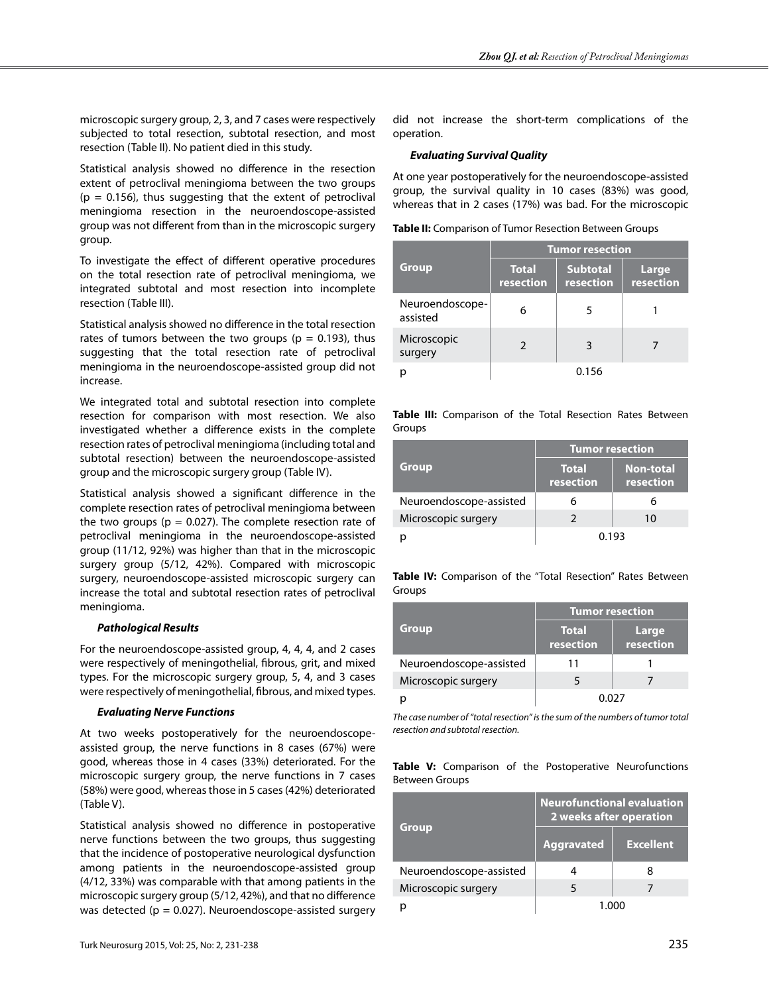microscopic surgery group, 2, 3, and 7 cases were respectively subjected to total resection, subtotal resection, and most resection (Table II). No patient died in this study.

Statistical analysis showed no difference in the resection extent of petroclival meningioma between the two groups  $(p = 0.156)$ , thus suggesting that the extent of petroclival meningioma resection in the neuroendoscope-assisted group was not different from than in the microscopic surgery group.

To investigate the effect of different operative procedures on the total resection rate of petroclival meningioma, we integrated subtotal and most resection into incomplete resection (Table III).

Statistical analysis showed no difference in the total resection rates of tumors between the two groups ( $p = 0.193$ ), thus suggesting that the total resection rate of petroclival meningioma in the neuroendoscope-assisted group did not increase.

We integrated total and subtotal resection into complete resection for comparison with most resection. We also investigated whether a difference exists in the complete resection rates of petroclival meningioma (including total and subtotal resection) between the neuroendoscope-assisted group and the microscopic surgery group (Table IV).

Statistical analysis showed a significant difference in the complete resection rates of petroclival meningioma between the two groups ( $p = 0.027$ ). The complete resection rate of petroclival meningioma in the neuroendoscope-assisted group (11/12, 92%) was higher than that in the microscopic surgery group (5/12, 42%). Compared with microscopic surgery, neuroendoscope-assisted microscopic surgery can increase the total and subtotal resection rates of petroclival meningioma.

# *Pathological Results*

For the neuroendoscope-assisted group, 4, 4, 4, and 2 cases were respectively of meningothelial, fibrous, grit, and mixed types. For the microscopic surgery group, 5, 4, and 3 cases were respectively of meningothelial, fibrous, and mixed types.

# *Evaluating Nerve Functions*

At two weeks postoperatively for the neuroendoscopeassisted group, the nerve functions in 8 cases (67%) were good, whereas those in 4 cases (33%) deteriorated. For the microscopic surgery group, the nerve functions in 7 cases (58%) were good, whereas those in 5 cases (42%) deteriorated (Table V).

Statistical analysis showed no difference in postoperative nerve functions between the two groups, thus suggesting that the incidence of postoperative neurological dysfunction among patients in the neuroendoscope-assisted group (4/12, 33%) was comparable with that among patients in the microscopic surgery group (5/12, 42%), and that no difference was detected ( $p = 0.027$ ). Neuroendoscope-assisted surgery

did not increase the short-term complications of the operation.

# *Evaluating Survival Quality*

At one year postoperatively for the neuroendoscope-assisted group, the survival quality in 10 cases (83%) was good, whereas that in 2 cases (17%) was bad. For the microscopic

**Table II:** Comparison of Tumor Resection Between Groups

|                             | <b>Tumor resection</b>    |                              |                           |
|-----------------------------|---------------------------|------------------------------|---------------------------|
| <b>Group</b>                | <b>Total</b><br>resection | <b>Subtotal</b><br>resection | <b>Large</b><br>resection |
| Neuroendoscope-<br>assisted | 6                         | 5                            |                           |
| Microscopic<br>surgery      |                           | 3                            |                           |
|                             |                           | 0.156                        |                           |

**Table III:** Comparison of the Total Resection Rates Between Groups

|                         | <b>Tumor resection</b>    |                               |  |
|-------------------------|---------------------------|-------------------------------|--|
| <b>Group</b>            | <b>Total</b><br>resection | <b>Non-total</b><br>resection |  |
| Neuroendoscope-assisted |                           |                               |  |
| Microscopic surgery     |                           | 10                            |  |
|                         | 0.193                     |                               |  |

**Table IV:** Comparison of the "Total Resection" Rates Between Groups

|                         | <b>Tumor resection</b>    |                    |  |
|-------------------------|---------------------------|--------------------|--|
| <b>Group</b>            | <b>Total</b><br>resection | Large<br>resection |  |
| Neuroendoscope-assisted | 11                        |                    |  |
| Microscopic surgery     |                           |                    |  |
|                         |                           |                    |  |

*The case number of "total resection" is the sum of the numbers of tumor total resection and subtotal resection.*

**Table V:** Comparison of the Postoperative Neurofunctions Between Groups

| Group                   | <b>Neurofunctional evaluation</b><br>2 weeks after operation |                  |  |
|-------------------------|--------------------------------------------------------------|------------------|--|
|                         | <b>Aggravated</b>                                            | <b>Excellent</b> |  |
| Neuroendoscope-assisted |                                                              |                  |  |
| Microscopic surgery     |                                                              |                  |  |
|                         |                                                              |                  |  |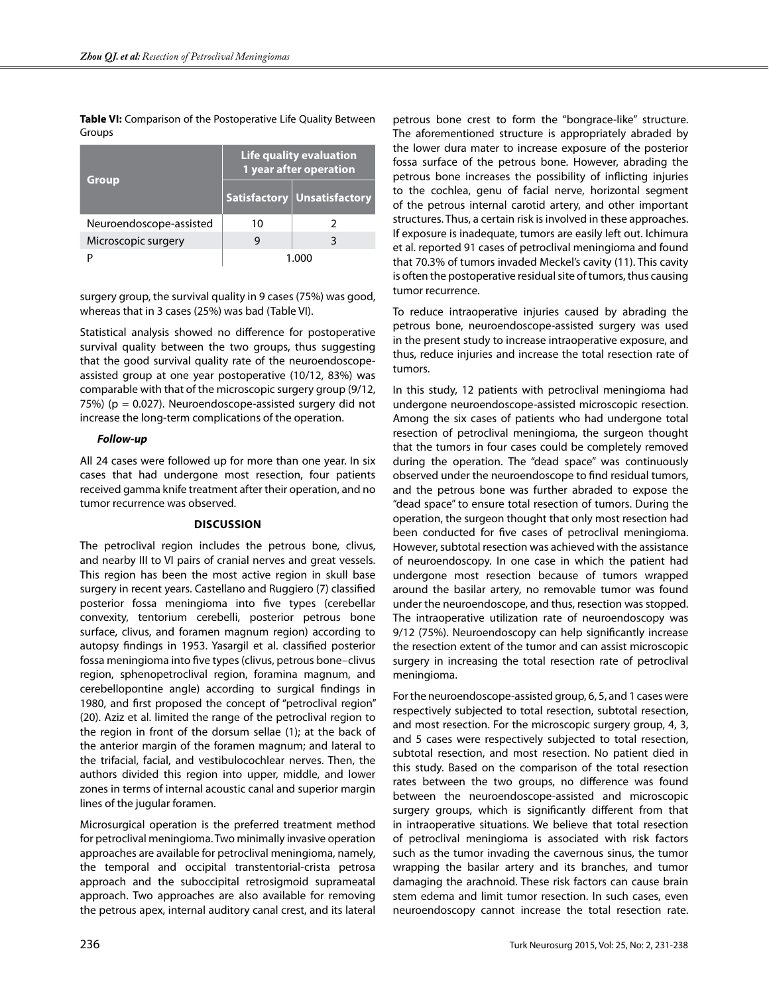**Table VI:** Comparison of the Postoperative Life Quality Between Groups

| Group                   | Life quality evaluation<br>1 year after operation |                             |
|-------------------------|---------------------------------------------------|-----------------------------|
|                         |                                                   | Satisfactory Unsatisfactory |
| Neuroendoscope-assisted | 10                                                |                             |
| Microscopic surgery     |                                                   | 3                           |
|                         | 1 กกก                                             |                             |

surgery group, the survival quality in 9 cases (75%) was good, whereas that in 3 cases (25%) was bad (Table VI).

Statistical analysis showed no difference for postoperative survival quality between the two groups, thus suggesting that the good survival quality rate of the neuroendoscopeassisted group at one year postoperative (10/12, 83%) was comparable with that of the microscopic surgery group (9/12, 75%) (p = 0.027). Neuroendoscope-assisted surgery did not increase the long-term complications of the operation.

## *Follow-up*

All 24 cases were followed up for more than one year. In six cases that had undergone most resection, four patients received gamma knife treatment after their operation, and no tumor recurrence was observed.

# **Discussion**

The petroclival region includes the petrous bone, clivus, and nearby III to VI pairs of cranial nerves and great vessels. This region has been the most active region in skull base surgery in recent years. Castellano and Ruggiero (7) classified posterior fossa meningioma into five types (cerebellar convexity, tentorium cerebelli, posterior petrous bone surface, clivus, and foramen magnum region) according to autopsy findings in 1953. Yasargil et al. classified posterior fossa meningioma into five types (clivus, petrous bone–clivus region, sphenopetroclival region, foramina magnum, and cerebellopontine angle) according to surgical findings in 1980, and first proposed the concept of "petroclival region" (20). Aziz et al. limited the range of the petroclival region to the region in front of the dorsum sellae (1); at the back of the anterior margin of the foramen magnum; and lateral to the trifacial, facial, and vestibulocochlear nerves. Then, the authors divided this region into upper, middle, and lower zones in terms of internal acoustic canal and superior margin lines of the jugular foramen.

Microsurgical operation is the preferred treatment method for petroclival meningioma. Two minimally invasive operation approaches are available for petroclival meningioma, namely, the temporal and occipital transtentorial-crista petrosa approach and the suboccipital retrosigmoid suprameatal approach. Two approaches are also available for removing the petrous apex, internal auditory canal crest, and its lateral

petrous bone crest to form the "bongrace-like" structure. The aforementioned structure is appropriately abraded by the lower dura mater to increase exposure of the posterior fossa surface of the petrous bone. However, abrading the petrous bone increases the possibility of inflicting injuries to the cochlea, genu of facial nerve, horizontal segment of the petrous internal carotid artery, and other important structures. Thus, a certain risk is involved in these approaches. If exposure is inadequate, tumors are easily left out. Ichimura et al. reported 91 cases of petroclival meningioma and found that 70.3% of tumors invaded Meckel's cavity (11). This cavity is often the postoperative residual site of tumors, thus causing tumor recurrence.

To reduce intraoperative injuries caused by abrading the petrous bone, neuroendoscope-assisted surgery was used in the present study to increase intraoperative exposure, and thus, reduce injuries and increase the total resection rate of tumors.

In this study, 12 patients with petroclival meningioma had undergone neuroendoscope-assisted microscopic resection. Among the six cases of patients who had undergone total resection of petroclival meningioma, the surgeon thought that the tumors in four cases could be completely removed during the operation. The "dead space" was continuously observed under the neuroendoscope to find residual tumors, and the petrous bone was further abraded to expose the "dead space" to ensure total resection of tumors. During the operation, the surgeon thought that only most resection had been conducted for five cases of petroclival meningioma. However, subtotal resection was achieved with the assistance of neuroendoscopy. In one case in which the patient had undergone most resection because of tumors wrapped around the basilar artery, no removable tumor was found under the neuroendoscope, and thus, resection was stopped. The intraoperative utilization rate of neuroendoscopy was 9/12 (75%). Neuroendoscopy can help significantly increase the resection extent of the tumor and can assist microscopic surgery in increasing the total resection rate of petroclival meningioma.

For the neuroendoscope-assisted group, 6, 5, and 1 cases were respectively subjected to total resection, subtotal resection, and most resection. For the microscopic surgery group, 4, 3, and 5 cases were respectively subjected to total resection, subtotal resection, and most resection. No patient died in this study. Based on the comparison of the total resection rates between the two groups, no difference was found between the neuroendoscope-assisted and microscopic surgery groups, which is significantly different from that in intraoperative situations. We believe that total resection of petroclival meningioma is associated with risk factors such as the tumor invading the cavernous sinus, the tumor wrapping the basilar artery and its branches, and tumor damaging the arachnoid. These risk factors can cause brain stem edema and limit tumor resection. In such cases, even neuroendoscopy cannot increase the total resection rate.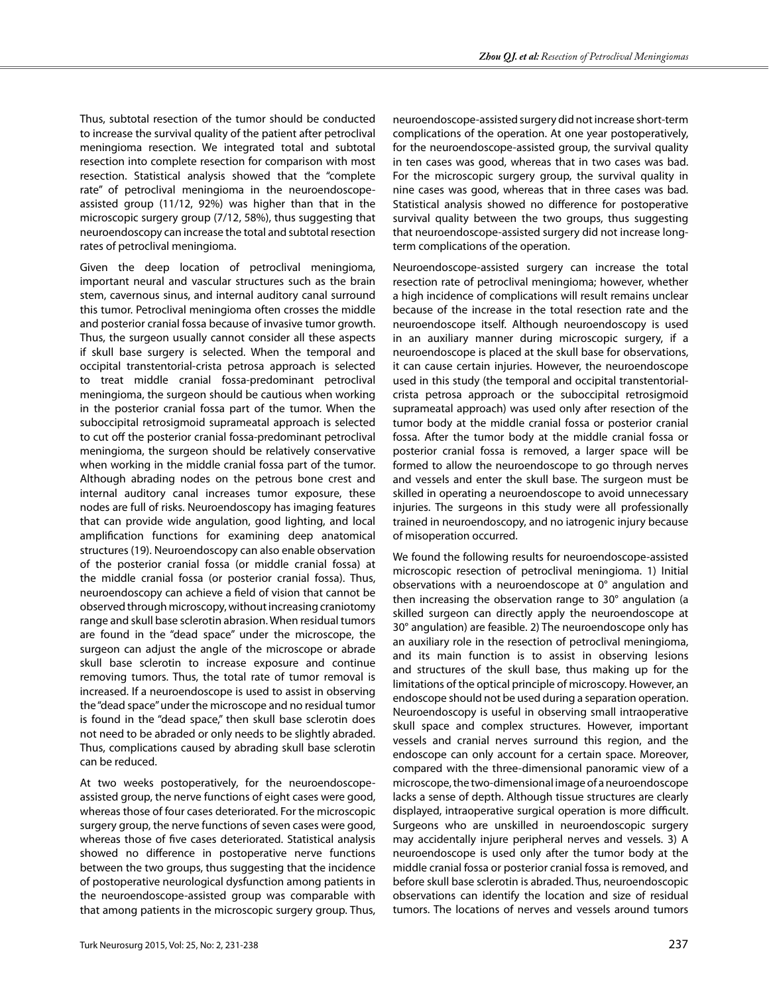Thus, subtotal resection of the tumor should be conducted to increase the survival quality of the patient after petroclival meningioma resection. We integrated total and subtotal resection into complete resection for comparison with most resection. Statistical analysis showed that the "complete rate" of petroclival meningioma in the neuroendoscopeassisted group (11/12, 92%) was higher than that in the microscopic surgery group (7/12, 58%), thus suggesting that neuroendoscopy can increase the total and subtotal resection rates of petroclival meningioma.

Given the deep location of petroclival meningioma, important neural and vascular structures such as the brain stem, cavernous sinus, and internal auditory canal surround this tumor. Petroclival meningioma often crosses the middle and posterior cranial fossa because of invasive tumor growth. Thus, the surgeon usually cannot consider all these aspects if skull base surgery is selected. When the temporal and occipital transtentorial-crista petrosa approach is selected to treat middle cranial fossa-predominant petroclival meningioma, the surgeon should be cautious when working in the posterior cranial fossa part of the tumor. When the suboccipital retrosigmoid suprameatal approach is selected to cut off the posterior cranial fossa-predominant petroclival meningioma, the surgeon should be relatively conservative when working in the middle cranial fossa part of the tumor. Although abrading nodes on the petrous bone crest and internal auditory canal increases tumor exposure, these nodes are full of risks. Neuroendoscopy has imaging features that can provide wide angulation, good lighting, and local amplification functions for examining deep anatomical structures (19). Neuroendoscopy can also enable observation of the posterior cranial fossa (or middle cranial fossa) at the middle cranial fossa (or posterior cranial fossa). Thus, neuroendoscopy can achieve a field of vision that cannot be observed through microscopy, without increasing craniotomy range and skull base sclerotin abrasion. When residual tumors are found in the "dead space" under the microscope, the surgeon can adjust the angle of the microscope or abrade skull base sclerotin to increase exposure and continue removing tumors. Thus, the total rate of tumor removal is increased. If a neuroendoscope is used to assist in observing the "dead space" under the microscope and no residual tumor is found in the "dead space," then skull base sclerotin does not need to be abraded or only needs to be slightly abraded. Thus, complications caused by abrading skull base sclerotin can be reduced.

At two weeks postoperatively, for the neuroendoscopeassisted group, the nerve functions of eight cases were good, whereas those of four cases deteriorated. For the microscopic surgery group, the nerve functions of seven cases were good, whereas those of five cases deteriorated. Statistical analysis showed no difference in postoperative nerve functions between the two groups, thus suggesting that the incidence of postoperative neurological dysfunction among patients in the neuroendoscope-assisted group was comparable with that among patients in the microscopic surgery group. Thus,

neuroendoscope-assisted surgery did not increase short-term complications of the operation. At one year postoperatively, for the neuroendoscope-assisted group, the survival quality in ten cases was good, whereas that in two cases was bad. For the microscopic surgery group, the survival quality in nine cases was good, whereas that in three cases was bad. Statistical analysis showed no difference for postoperative survival quality between the two groups, thus suggesting that neuroendoscope-assisted surgery did not increase longterm complications of the operation.

Neuroendoscope-assisted surgery can increase the total resection rate of petroclival meningioma; however, whether a high incidence of complications will result remains unclear because of the increase in the total resection rate and the neuroendoscope itself. Although neuroendoscopy is used in an auxiliary manner during microscopic surgery, if a neuroendoscope is placed at the skull base for observations, it can cause certain injuries. However, the neuroendoscope used in this study (the temporal and occipital transtentorialcrista petrosa approach or the suboccipital retrosigmoid suprameatal approach) was used only after resection of the tumor body at the middle cranial fossa or posterior cranial fossa. After the tumor body at the middle cranial fossa or posterior cranial fossa is removed, a larger space will be formed to allow the neuroendoscope to go through nerves and vessels and enter the skull base. The surgeon must be skilled in operating a neuroendoscope to avoid unnecessary injuries. The surgeons in this study were all professionally trained in neuroendoscopy, and no iatrogenic injury because of misoperation occurred.

We found the following results for neuroendoscope-assisted microscopic resection of petroclival meningioma. 1) Initial observations with a neuroendoscope at 0° angulation and then increasing the observation range to 30° angulation (a skilled surgeon can directly apply the neuroendoscope at 30° angulation) are feasible. 2) The neuroendoscope only has an auxiliary role in the resection of petroclival meningioma, and its main function is to assist in observing lesions and structures of the skull base, thus making up for the limitations of the optical principle of microscopy. However, an endoscope should not be used during a separation operation. Neuroendoscopy is useful in observing small intraoperative skull space and complex structures. However, important vessels and cranial nerves surround this region, and the endoscope can only account for a certain space. Moreover, compared with the three-dimensional panoramic view of a microscope, the two-dimensional image of a neuroendoscope lacks a sense of depth. Although tissue structures are clearly displayed, intraoperative surgical operation is more difficult. Surgeons who are unskilled in neuroendoscopic surgery may accidentally injure peripheral nerves and vessels. 3) A neuroendoscope is used only after the tumor body at the middle cranial fossa or posterior cranial fossa is removed, and before skull base sclerotin is abraded. Thus, neuroendoscopic observations can identify the location and size of residual tumors. The locations of nerves and vessels around tumors